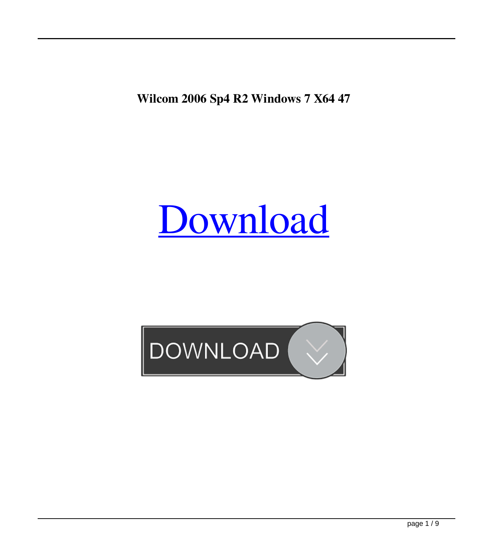**Wilcom 2006 Sp4 R2 Windows 7 X64 47**

## [Download](http://evacdir.com/?heartworms=ford/V2lsY29tIDIwMDYgc3A0IHIyIFdpbmRvd3MgNyB4NjQgNDcV2l/feasted/mattensen.ZG93bmxvYWR8djl4YTNrMmZId3hOalV5TnpRd09EWTJmSHd5TlRjMGZId29UU2tnY21WaFpDMWliRzluSUZ0R1lYTjBJRWRGVGww)

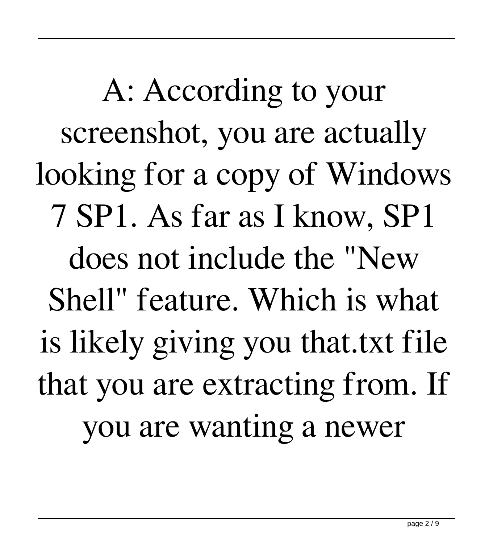A: According to your screenshot, you are actually looking for a copy of Windows 7 SP1. As far as I know, SP1 does not include the "New Shell" feature. Which is what is likely giving you that.txt file that you are extracting from. If you are wanting a newer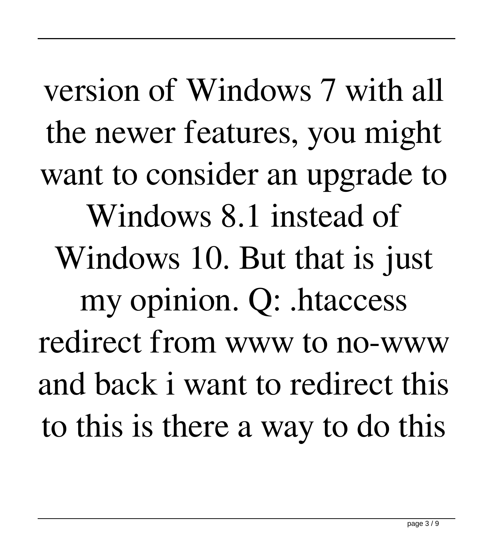version of Windows 7 with all the newer features, you might want to consider an upgrade to Windows 8.1 instead of Windows 10. But that is just my opinion. Q: .htaccess redirect from www to no-www and back i want to redirect this to this is there a way to do this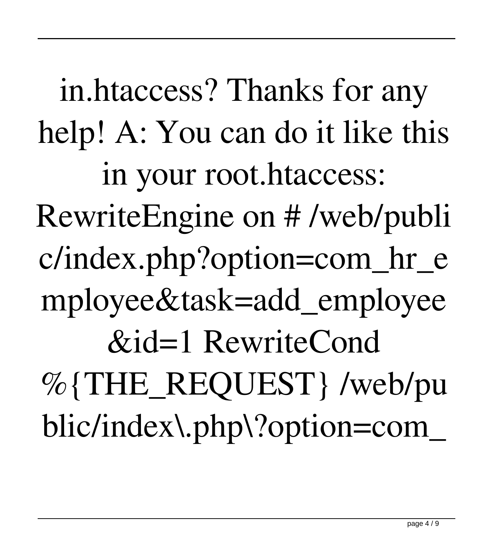in.htaccess? Thanks for any help! A: You can do it like this in your root.htaccess: RewriteEngine on # /web/publi c/index.php?option=com\_hr\_e mployee&task=add\_employee &id=1 RewriteCond %{THE\_REQUEST} /web/pu blic/index\.php\?option=com\_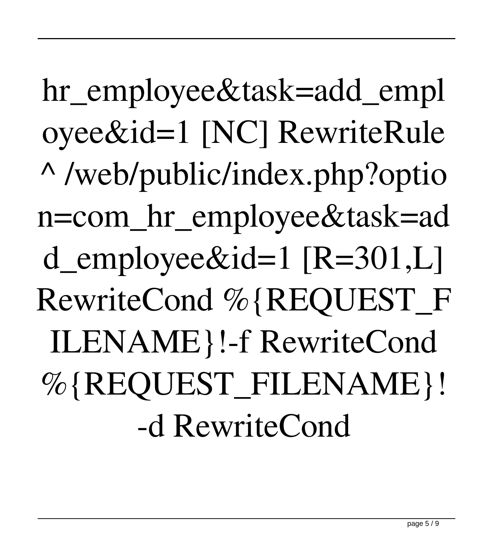hr\_employee&task=add\_empl oyee&id=1 [NC] RewriteRule ^ /web/public/index.php?optio n=com\_hr\_employee&task=ad d\_employee&id=1 [R=301,L] RewriteCond %{REQUEST\_F ILENAME}!-f RewriteCond %{REQUEST\_FILENAME}! -d RewriteCond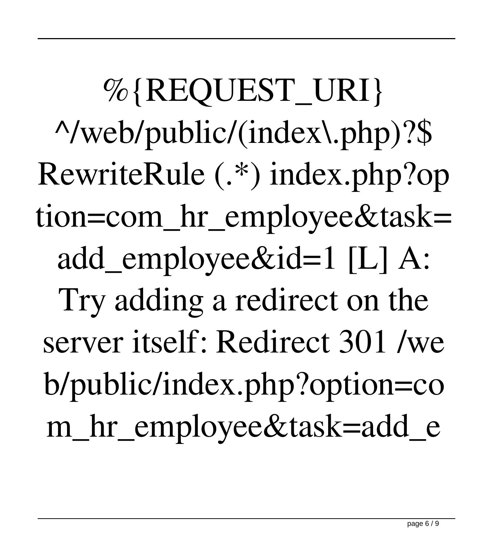%{REQUEST\_URI} ^/web/public/(index\.php)?\$ RewriteRule (.\*) index.php?op tion=com\_hr\_employee&task= add\_employee&id=1 [L] A: Try adding a redirect on the server itself: Redirect 301 /we b/public/index.php?option=co m\_hr\_employee&task=add\_e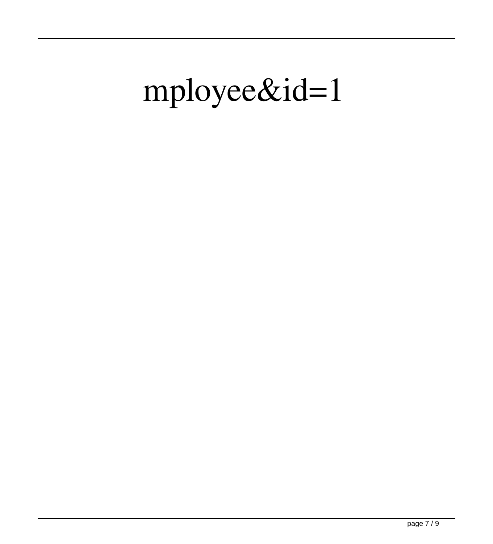## mployee&id=1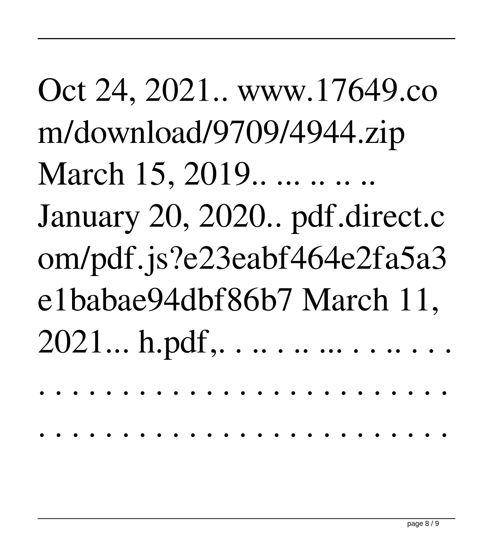## Oct 24, 2021.. www.17649.co m/download/9709/4944.zip March 15, 2019............ January 20, 2020.. pdf.direct.c om/pdf.js?e23eabf464e2fa5a3 e1babae94dbf86b7 March 11,  $2021...$  h.pdf,............... . . . . . . . . . . . . . . . . . . . . . . . . .

. . . . . . . . . . . . . . . . . . . . . . . . .